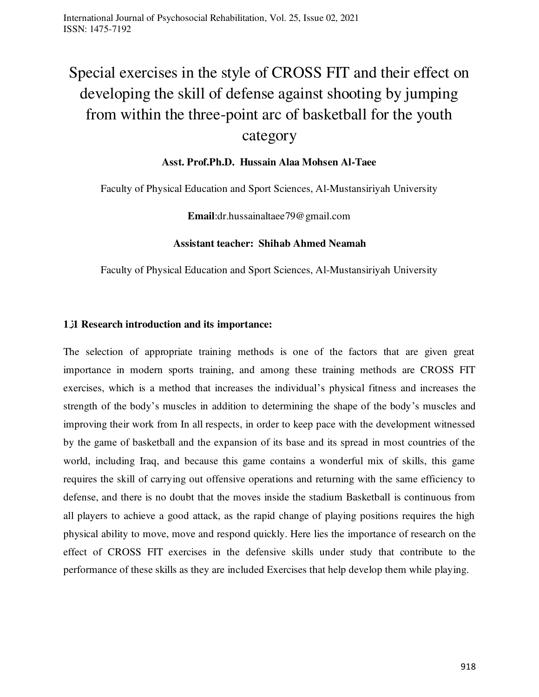# Special exercises in the style of CROSS FIT and their effect on developing the skill of defense against shooting by jumping from within the three-point arc of basketball for the youth

## category

#### **Asst. Prof.Ph.D. Hussain Alaa Mohsen Al-Taee**

Faculty of Physical Education and Sport Sciences, Al-Mustansiriyah University

**Email**:dr.hussainaltaee79@gmail.com

#### **Assistant teacher: Shihab Ahmed Neamah**

Faculty of Physical Education and Sport Sciences, Al-Mustansiriyah University

#### **1ز1 Research introduction and its importance:**

The selection of appropriate training methods is one of the factors that are given great importance in modern sports training, and among these training methods are CROSS FIT exercises, which is a method that increases the individual's physical fitness and increases the strength of the body's muscles in addition to determining the shape of the body's muscles and improving their work from In all respects, in order to keep pace with the development witnessed by the game of basketball and the expansion of its base and its spread in most countries of the world, including Iraq, and because this game contains a wonderful mix of skills, this game requires the skill of carrying out offensive operations and returning with the same efficiency to defense, and there is no doubt that the moves inside the stadium Basketball is continuous from all players to achieve a good attack, as the rapid change of playing positions requires the high physical ability to move, move and respond quickly. Here lies the importance of research on the effect of CROSS FIT exercises in the defensive skills under study that contribute to the performance of these skills as they are included Exercises that help develop them while playing.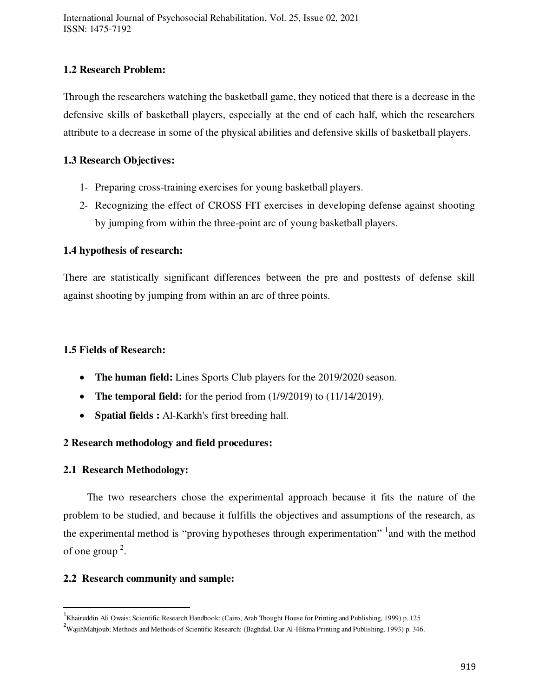#### **1.2 Research Problem:**

Through the researchers watching the basketball game, they noticed that there is a decrease in the defensive skills of basketball players, especially at the end of each half, which the researchers attribute to a decrease in some of the physical abilities and defensive skills of basketball players.

## **1.3 Research Objectives:**

- 1- Preparing cross-training exercises for young basketball players.
- 2- Recognizing the effect of CROSS FIT exercises in developing defense against shooting by jumping from within the three-point arc of young basketball players.

## **1.4 hypothesis of research:**

There are statistically significant differences between the pre and posttests of defense skill against shooting by jumping from within an arc of three points.

## **1.5 Fields of Research:**

- **The human field:** Lines Sports Club players for the 2019/2020 season.
- The temporal field: for the period from  $(1/9/2019)$  to  $(11/14/2019)$ .
- **Spatial fields :** Al-Karkh's first breeding hall.

## **2 Research methodology and field procedures:**

#### **2.1 Research Methodology:**

 $\overline{a}$ 

 The two researchers chose the experimental approach because it fits the nature of the problem to be studied, and because it fulfills the objectives and assumptions of the research, as the experimental method is "proving hypotheses through experimentation" <sup>1</sup> and with the method of one group  $2$ .

#### **2.2 Research community and sample:**

<sup>&</sup>lt;sup>1</sup>Khairuddin Ali Owais; Scientific Research Handbook: (Cairo, Arab Thought House for Printing and Publishing, 1999) p. 125

<sup>&</sup>lt;sup>2</sup>WajihMahjoub; Methods and Methods of Scientific Research: (Baghdad, Dar Al-Hikma Printing and Publishing, 1993) p. 346.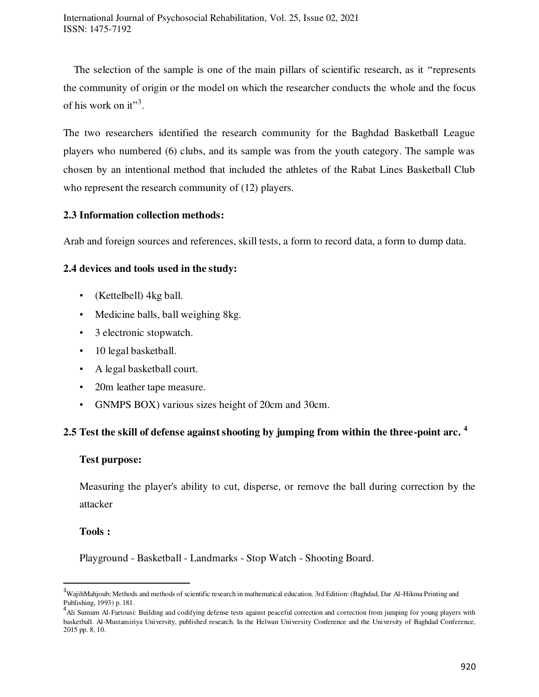The selection of the sample is one of the main pillars of scientific research, as it "represents the community of origin or the model on which the researcher conducts the whole and the focus of his work on it"<sup>3</sup>.

The two researchers identified the research community for the Baghdad Basketball League players who numbered (6) clubs, and its sample was from the youth category. The sample was chosen by an intentional method that included the athletes of the Rabat Lines Basketball Club who represent the research community of (12) players.

#### **2.3 Information collection methods:**

Arab and foreign sources and references, skill tests, a form to record data, a form to dump data.

#### **2.4 devices and tools used in the study:**

- (Kettelbell) 4kg ball.
- Medicine balls, ball weighing 8kg.
- 3 electronic stopwatch.
- 10 legal basketball.
- A legal basketball court.
- 20m leather tape measure.
- GNMPS BOX) various sizes height of 20cm and 30cm.

#### **2.5 Test the skill of defense against shooting by jumping from within the three-point arc. <sup>4</sup>**

#### **Test purpose:**

Measuring the player's ability to cut, disperse, or remove the ball during correction by the attacker

#### **Tools :**

 $\overline{a}$ 

Playground - Basketball - Landmarks - Stop Watch - Shooting Board.

<sup>&</sup>lt;sup>3</sup>WajihMahjoub; Methods and methods of scientific research in mathematical education. 3rd Edition: (Baghdad, Dar Al-Hikma Printing and

Publishing, 1993) p. 181.<br><sup>4</sup>Ali Sumum Al-Fartousi: Building and codifying defense tests against peaceful correction and correction from jumping for young players with basketball. Al-Mustansiriya University, published research. In the Helwan University Conference and the University of Baghdad Conference, 2015 pp. 8, 10.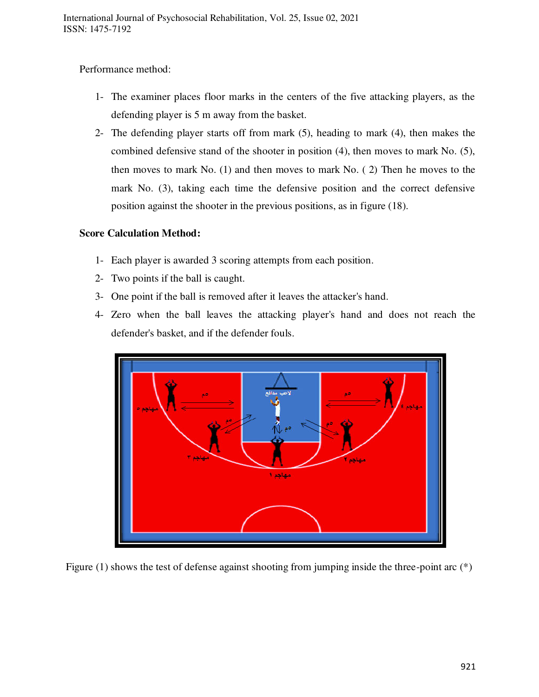Performance method:

- 1- The examiner places floor marks in the centers of the five attacking players, as the defending player is 5 m away from the basket.
- 2- The defending player starts off from mark (5), heading to mark (4), then makes the combined defensive stand of the shooter in position (4), then moves to mark No. (5), then moves to mark No. (1) and then moves to mark No. ( 2) Then he moves to the mark No. (3), taking each time the defensive position and the correct defensive position against the shooter in the previous positions, as in figure (18).

## **Score Calculation Method:**

- 1- Each player is awarded 3 scoring attempts from each position.
- 2- Two points if the ball is caught.
- 3- One point if the ball is removed after it leaves the attacker's hand.
- 4- Zero when the ball leaves the attacking player's hand and does not reach the defender's basket, and if the defender fouls.



Figure (1) shows the test of defense against shooting from jumping inside the three-point arc (\*)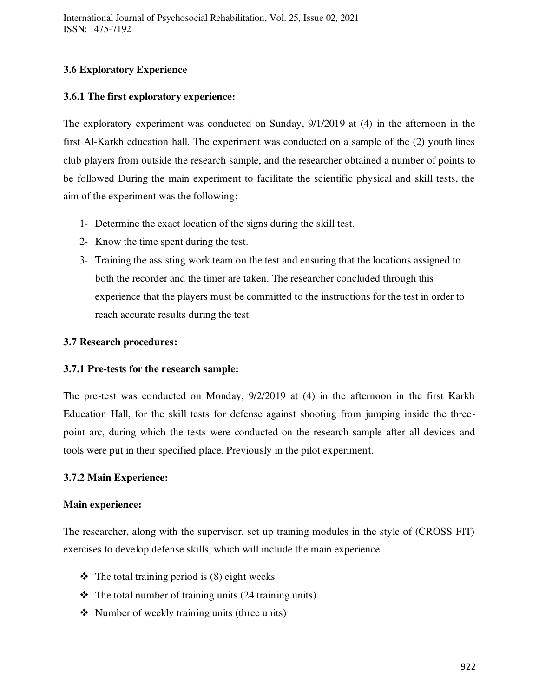## **3.6 Exploratory Experience**

#### **3.6.1 The first exploratory experience:**

The exploratory experiment was conducted on Sunday, 9/1/2019 at (4) in the afternoon in the first Al-Karkh education hall. The experiment was conducted on a sample of the (2) youth lines club players from outside the research sample, and the researcher obtained a number of points to be followed During the main experiment to facilitate the scientific physical and skill tests, the aim of the experiment was the following:-

- 1- Determine the exact location of the signs during the skill test.
- 2- Know the time spent during the test.
- 3- Training the assisting work team on the test and ensuring that the locations assigned to both the recorder and the timer are taken. The researcher concluded through this experience that the players must be committed to the instructions for the test in order to reach accurate results during the test.

#### **3.7 Research procedures:**

#### **3.7.1 Pre-tests for the research sample:**

The pre-test was conducted on Monday, 9/2/2019 at (4) in the afternoon in the first Karkh Education Hall, for the skill tests for defense against shooting from jumping inside the threepoint arc, during which the tests were conducted on the research sample after all devices and tools were put in their specified place. Previously in the pilot experiment.

#### **3.7.2 Main Experience:**

#### **Main experience:**

The researcher, along with the supervisor, set up training modules in the style of (CROSS FIT) exercises to develop defense skills, which will include the main experience

- $\triangleleft$  The total training period is (8) eight weeks
- $\triangle$  The total number of training units (24 training units)
- $\triangleleft$  Number of weekly training units (three units)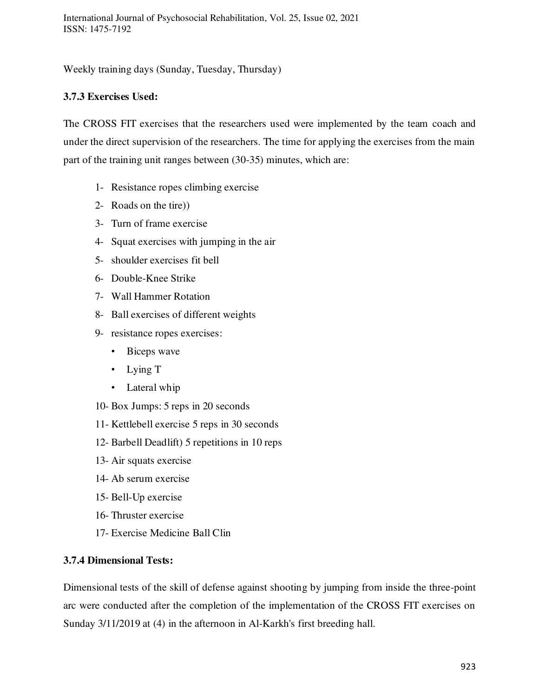Weekly training days (Sunday, Tuesday, Thursday)

## **3.7.3 Exercises Used:**

The CROSS FIT exercises that the researchers used were implemented by the team coach and under the direct supervision of the researchers. The time for applying the exercises from the main part of the training unit ranges between (30-35) minutes, which are:

- 1- Resistance ropes climbing exercise
- 2- Roads on the tire))
- 3- Turn of frame exercise
- 4- Squat exercises with jumping in the air
- 5- shoulder exercises fit bell
- 6- Double-Knee Strike
- 7- Wall Hammer Rotation
- 8- Ball exercises of different weights
- 9- resistance ropes exercises:
	- Biceps wave
	- Lying T
	- Lateral whip
- 10- Box Jumps: 5 reps in 20 seconds
- 11- Kettlebell exercise 5 reps in 30 seconds
- 12- Barbell Deadlift) 5 repetitions in 10 reps
- 13- Air squats exercise
- 14- Ab serum exercise
- 15- Bell-Up exercise
- 16- Thruster exercise
- 17- Exercise Medicine Ball Clin

#### **3.7.4 Dimensional Tests:**

Dimensional tests of the skill of defense against shooting by jumping from inside the three-point arc were conducted after the completion of the implementation of the CROSS FIT exercises on Sunday 3/11/2019 at (4) in the afternoon in Al-Karkh's first breeding hall.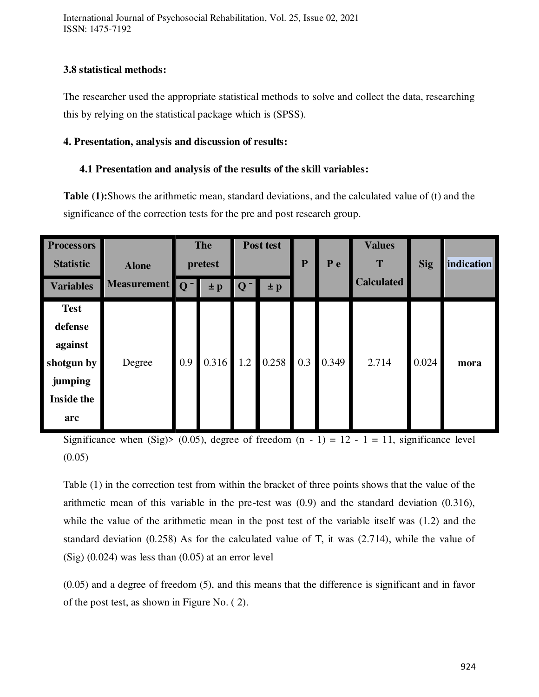International Journal of Psychosocial Rehabilitation, Vol. 25, Issue 02, 2021 ISSN: 1475-7192

#### **3.8 statistical methods:**

The researcher used the appropriate statistical methods to solve and collect the data, researching this by relying on the statistical package which is (SPSS).

#### **4. Presentation, analysis and discussion of results:**

## **4.1 Presentation and analysis of the results of the skill variables:**

**Table (1):**Shows the arithmetic mean, standard deviations, and the calculated value of (t) and the significance of the correction tests for the pre and post research group.

| <b>Test</b><br>defense<br>against                                                                                            | <b>Processors</b><br><b>Statistic</b><br><b>Variables</b> | <b>Alone</b><br>Measurement Q <sup>-</sup> | <b>The</b><br>pretest<br>$\pm p$ |  | Post test<br>$Q^-$<br>$\pm p$ |  | ${\bf P}$ | P e | <b>Values</b><br>T<br><b>Calculated</b> | <b>Sig</b> | indication |
|------------------------------------------------------------------------------------------------------------------------------|-----------------------------------------------------------|--------------------------------------------|----------------------------------|--|-------------------------------|--|-----------|-----|-----------------------------------------|------------|------------|
| $0.316$ 1.2<br>0.258<br>0.349<br>0.3<br>0.9<br>2.714<br>0.024<br>shotgun by<br>Degree<br>jumping<br><b>Inside the</b><br>arc |                                                           |                                            |                                  |  |                               |  |           |     |                                         |            | mora       |

Significance when (Sig)> (0.05), degree of freedom  $(n - 1) = 12 - 1 = 11$ , significance level  $(0.05)$ 

Table (1) in the correction test from within the bracket of three points shows that the value of the arithmetic mean of this variable in the pre-test was (0.9) and the standard deviation (0.316), while the value of the arithmetic mean in the post test of the variable itself was (1.2) and the standard deviation (0.258) As for the calculated value of T, it was (2.714), while the value of  $(Sig)$  (0.024) was less than (0.05) at an error level

(0.05) and a degree of freedom (5), and this means that the difference is significant and in favor of the post test, as shown in Figure No. ( 2).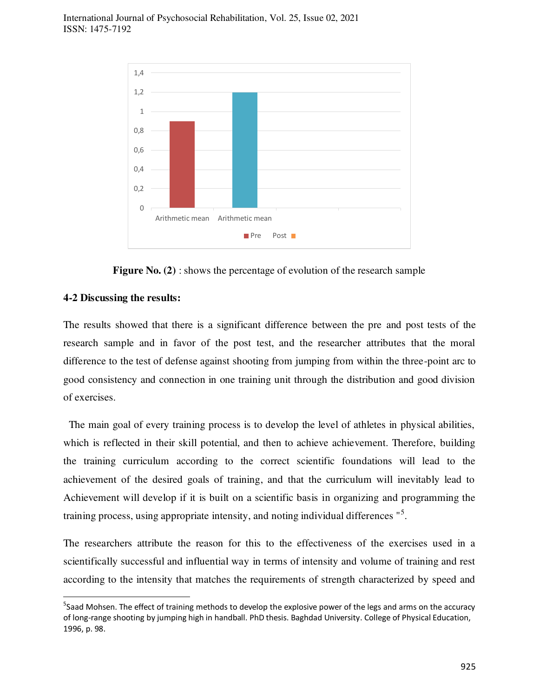

**Figure No. (2)** : shows the percentage of evolution of the research sample

#### **4-2 Discussing the results:**

 $\overline{a}$ 

The results showed that there is a significant difference between the pre and post tests of the research sample and in favor of the post test, and the researcher attributes that the moral difference to the test of defense against shooting from jumping from within the three-point arc to good consistency and connection in one training unit through the distribution and good division of exercises.

 The main goal of every training process is to develop the level of athletes in physical abilities, which is reflected in their skill potential, and then to achieve achievement. Therefore, building the training curriculum according to the correct scientific foundations will lead to the achievement of the desired goals of training, and that the curriculum will inevitably lead to Achievement will develop if it is built on a scientific basis in organizing and programming the training process, using appropriate intensity, and noting individual differences "<sup>5</sup>.

The researchers attribute the reason for this to the effectiveness of the exercises used in a scientifically successful and influential way in terms of intensity and volume of training and rest according to the intensity that matches the requirements of strength characterized by speed and

<sup>&</sup>lt;sup>5</sup>Saad Mohsen. The effect of training methods to develop the explosive power of the legs and arms on the accuracy of long-range shooting by jumping high in handball. PhD thesis. Baghdad University. College of Physical Education, 1996, p. 98.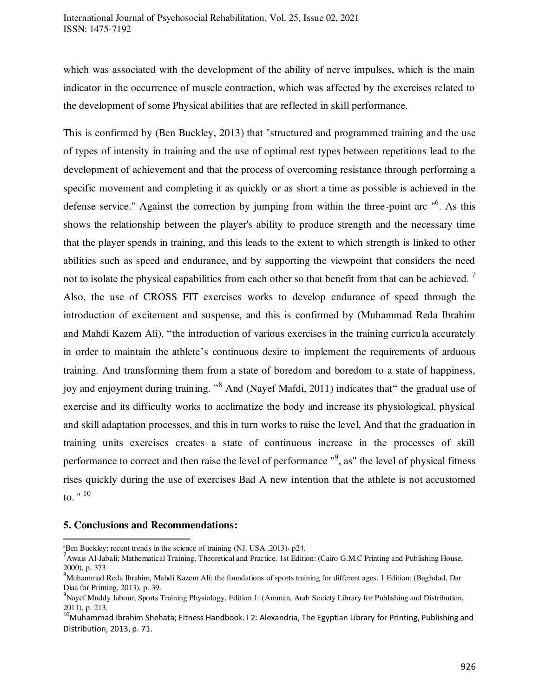which was associated with the development of the ability of nerve impulses, which is the main indicator in the occurrence of muscle contraction, which was affected by the exercises related to the development of some Physical abilities that are reflected in skill performance.

This is confirmed by (Ben Buckley, 2013) that "structured and programmed training and the use of types of intensity in training and the use of optimal rest types between repetitions lead to the development of achievement and that the process of overcoming resistance through performing a specific movement and completing it as quickly or as short a time as possible is achieved in the defense service." Against the correction by jumping from within the three-point arc "<sup>6</sup>. As this shows the relationship between the player's ability to produce strength and the necessary time that the player spends in training, and this leads to the extent to which strength is linked to other abilities such as speed and endurance, and by supporting the viewpoint that considers the need not to isolate the physical capabilities from each other so that benefit from that can be achieved.  $\frac{7}{1}$ Also, the use of CROSS FIT exercises works to develop endurance of speed through the introduction of excitement and suspense, and this is confirmed by (Muhammad Reda Ibrahim and Mahdi Kazem Ali), "the introduction of various exercises in the training curricula accurately in order to maintain the athlete's continuous desire to implement the requirements of arduous training. And transforming them from a state of boredom and boredom to a state of happiness, joy and enjoyment during training. "<sup>8</sup> And (Nayef Mafdi, 2011) indicates that" the gradual use of exercise and its difficulty works to acclimatize the body and increase its physiological, physical and skill adaptation processes, and this in turn works to raise the level, And that the graduation in training units exercises creates a state of continuous increase in the processes of skill performance to correct and then raise the level of performance "<sup>9</sup>, as" the level of physical fitness rises quickly during the use of exercises Bad A new intention that the athlete is not accustomed to.  $" ' 10$ 

#### **5. Conclusions and Recommendations:**

 $\overline{a}$  $6$ Ben Buckley; recent trends in the science of training (NJ. USA .2013) $\cdot$  p24.

<sup>&</sup>lt;sup>7</sup> Awais Al-Jabali; Mathematical Training, Theoretical and Practice. 1st Edition: (Cairo G.M.C Printing and Publishing House, 2000), p. 373

<sup>&</sup>lt;sup>8</sup>Muhammad Reda Ibrahim, Mahdi Kazem Ali; the foundations of sports training for different ages. 1 Edition: (Baghdad, Dar Diaa for Printing, 2013), p. 39.

<sup>9</sup>Nayef Muddy Jabour; Sports Training Physiology. Edition 1: (Amman, Arab Society Library for Publishing and Distribution, 2011), p. 213.

<sup>&</sup>lt;sup>10</sup>Muhammad Ibrahim Shehata; Fitness Handbook. I 2: Alexandria, The Egyptian Library for Printing, Publishing and Distribution, 2013, p. 71.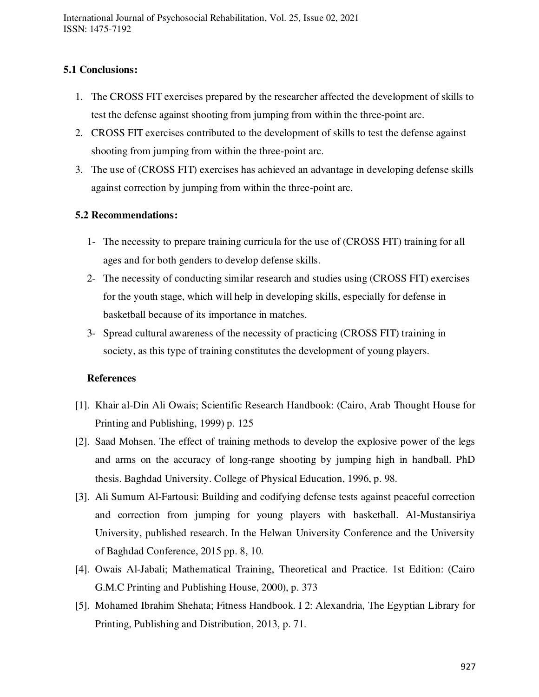## **5.1 Conclusions:**

- 1. The CROSS FIT exercises prepared by the researcher affected the development of skills to test the defense against shooting from jumping from within the three-point arc.
- 2. CROSS FIT exercises contributed to the development of skills to test the defense against shooting from jumping from within the three-point arc.
- 3. The use of (CROSS FIT) exercises has achieved an advantage in developing defense skills against correction by jumping from within the three-point arc.

#### **5.2 Recommendations:**

- 1- The necessity to prepare training curricula for the use of (CROSS FIT) training for all ages and for both genders to develop defense skills.
- 2- The necessity of conducting similar research and studies using (CROSS FIT) exercises for the youth stage, which will help in developing skills, especially for defense in basketball because of its importance in matches.
- 3- Spread cultural awareness of the necessity of practicing (CROSS FIT) training in society, as this type of training constitutes the development of young players.

#### **References**

- [1]. Khair al-Din Ali Owais; Scientific Research Handbook: (Cairo, Arab Thought House for Printing and Publishing, 1999) p. 125
- [2]. Saad Mohsen. The effect of training methods to develop the explosive power of the legs and arms on the accuracy of long-range shooting by jumping high in handball. PhD thesis. Baghdad University. College of Physical Education, 1996, p. 98.
- [3]. Ali Sumum Al-Fartousi: Building and codifying defense tests against peaceful correction and correction from jumping for young players with basketball. Al-Mustansiriya University, published research. In the Helwan University Conference and the University of Baghdad Conference, 2015 pp. 8, 10.
- [4]. Owais Al-Jabali; Mathematical Training, Theoretical and Practice. 1st Edition: (Cairo G.M.C Printing and Publishing House, 2000), p. 373
- [5]. Mohamed Ibrahim Shehata; Fitness Handbook. I 2: Alexandria, The Egyptian Library for Printing, Publishing and Distribution, 2013, p. 71.